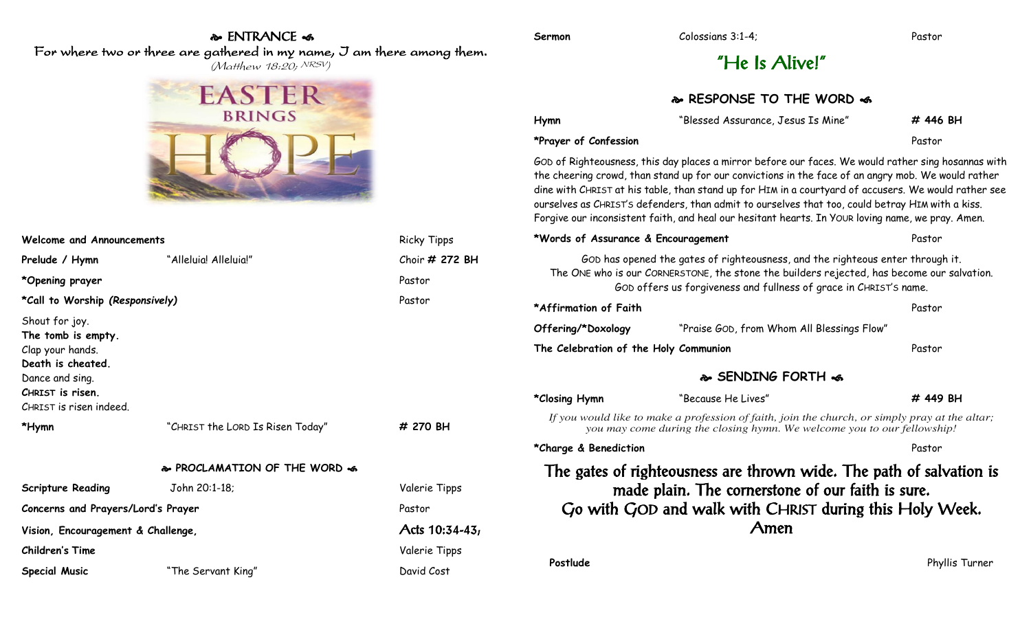## & ENTRANCE <

For where two or three are gathered in my name, I am there among them.

 $(M$ atthew 18:20; NRSV)



| <b>Welcome and Announcements</b>                                                                                                                |                                  | <b>Ricky Tipps</b> |  |
|-------------------------------------------------------------------------------------------------------------------------------------------------|----------------------------------|--------------------|--|
| Prelude / Hymn                                                                                                                                  | "Alleluia! Alleluia!"            | Choir # 272 BH     |  |
| *Opening prayer                                                                                                                                 |                                  | Pastor             |  |
| *Call to Worship (Responsively)                                                                                                                 |                                  | Pastor             |  |
| Shout for joy.<br>The tomb is empty.<br>Clap your hands.<br>Death is cheated.<br>Dance and sing.<br>CHRIST is risen.<br>CHRIST is risen indeed. |                                  |                    |  |
| *Hymn                                                                                                                                           | "CHRIST the LORD Is Risen Today" | # 270 BH           |  |
|                                                                                                                                                 | & PROCLAMATION OF THE WORD &     |                    |  |
| <b>Scripture Reading</b>                                                                                                                        | John 20:1-18;                    | Valerie Tipps      |  |
| Concerns and Prayers/Lord's Prayer                                                                                                              |                                  | Pastor             |  |
| Vision, Encouragement & Challenge,                                                                                                              |                                  | Acts 10:34-43,     |  |
| Children's Time                                                                                                                                 |                                  | Valerie Tipps      |  |
| Special Music                                                                                                                                   | "The Servant King"               | David Cost         |  |

# "He Is Alive!"

#### **& RESPONSE TO THE WORD &**

| Hymn                                  | "Blessed Assurance, Jesus Is Mine"                                                                                                                                                                                                                                                                                                                                                                                                                                                                                         | # 446 BH       |
|---------------------------------------|----------------------------------------------------------------------------------------------------------------------------------------------------------------------------------------------------------------------------------------------------------------------------------------------------------------------------------------------------------------------------------------------------------------------------------------------------------------------------------------------------------------------------|----------------|
| *Prayer of Confession                 |                                                                                                                                                                                                                                                                                                                                                                                                                                                                                                                            | Pastor         |
|                                       | GOD of Righteousness, this day places a mirror before our faces. We would rather sing hosannas with<br>the cheering crowd, than stand up for our convictions in the face of an angry mob. We would rather<br>dine with CHRIST at his table, than stand up for HIM in a courtyard of accusers. We would rather see<br>ourselves as CHRIST's defenders, than admit to ourselves that too, could betray HIM with a kiss.<br>Forgive our inconsistent faith, and heal our hesitant hearts. In YOUR loving name, we pray. Amen. |                |
| *Words of Assurance & Encouragement   |                                                                                                                                                                                                                                                                                                                                                                                                                                                                                                                            | Pastor         |
|                                       | GOD has opened the gates of righteousness, and the righteous enter through it.<br>The ONE who is our CORNERSTONE, the stone the builders rejected, has become our salvation.<br>GOD offers us forgiveness and fullness of grace in CHRIST's name.                                                                                                                                                                                                                                                                          |                |
| *Affirmation of Faith                 |                                                                                                                                                                                                                                                                                                                                                                                                                                                                                                                            | Pastor         |
| Offering/*Doxology                    | "Praise GOD, from Whom All Blessings Flow"                                                                                                                                                                                                                                                                                                                                                                                                                                                                                 |                |
| The Celebration of the Holy Communion |                                                                                                                                                                                                                                                                                                                                                                                                                                                                                                                            | Pastor         |
|                                       | & SENDING FORTH &                                                                                                                                                                                                                                                                                                                                                                                                                                                                                                          |                |
| *Closing Hymn                         | "Because He Lives"                                                                                                                                                                                                                                                                                                                                                                                                                                                                                                         | # 449 BH       |
|                                       | If you would like to make a profession of faith, join the church, or simply pray at the altar;<br>you may come during the closing hymn. We welcome you to our fellowship!                                                                                                                                                                                                                                                                                                                                                  |                |
| *Charge & Benediction                 |                                                                                                                                                                                                                                                                                                                                                                                                                                                                                                                            | Pastor         |
|                                       | The gates of righteousness are thrown wide. The path of salvation is<br>made plain. The cornerstone of our faith is sure.<br>Go with GOD and walk with CHRIST during this Holy Week.<br>Amen                                                                                                                                                                                                                                                                                                                               |                |
| Postlude                              |                                                                                                                                                                                                                                                                                                                                                                                                                                                                                                                            | Phyllis Turner |